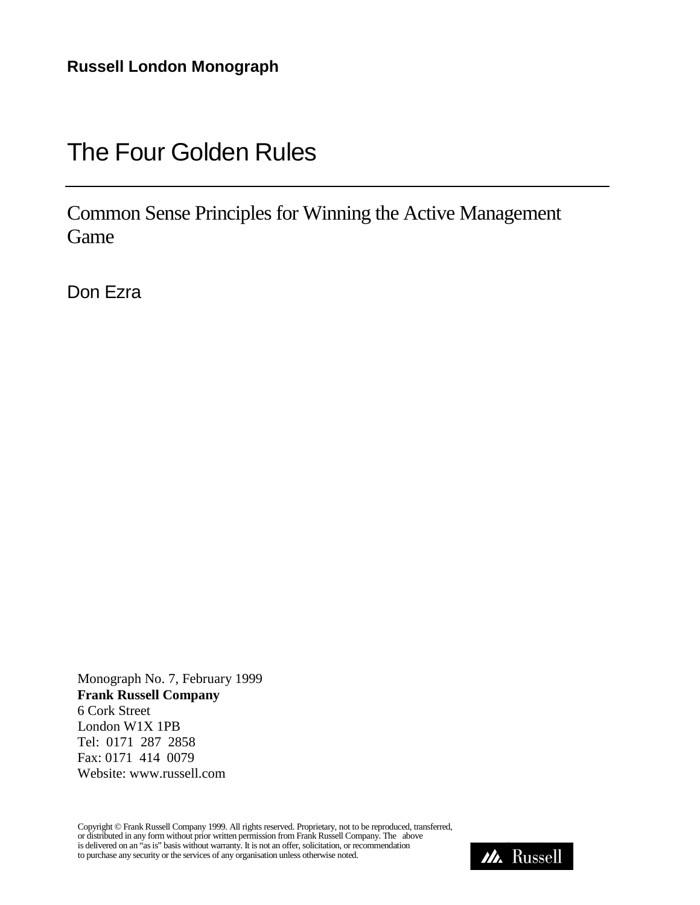# The Four Golden Rules

Common Sense Principles for Winning the Active Management Game

Don Ezra

 Monograph No. 7, February 1999  **Frank Russell Company** 6 Cork Street London W1X 1PB Tel: 0171 287 2858 Fax: 0171 414 0079 Website: www.russell.com

Copyright © Frank Russell Company 1999. All rights reserved. Proprietary, not to be reproduced, transferred, or distributed in any form without prior written permission from Frank Russell Company. The above or usurbuted in any form whilout phot written permission from Prank Russen Company. The above<br>is delivered on an "as is" basis without warranty. It is not an offer, solicitation, or recommendation<br>to purchase any security

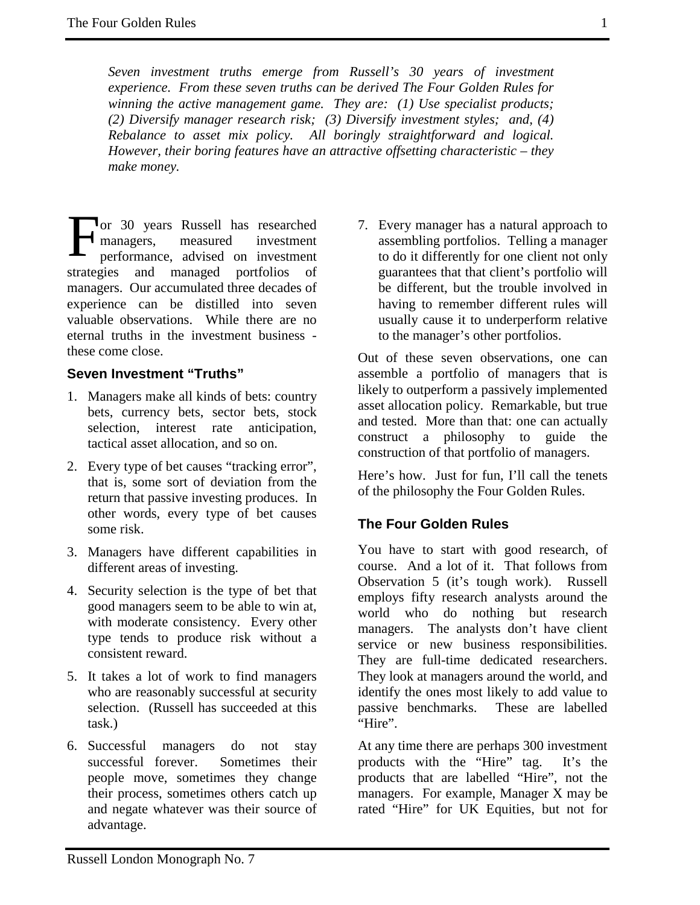*Seven investment truths emerge from Russell's 30 years of investment experience. From these seven truths can be derived The Four Golden Rules for winning the active management game. They are: (1) Use specialist products; (2) Diversify manager research risk; (3) Diversify investment styles; and, (4) Rebalance to asset mix policy. All boringly straightforward and logical. However, their boring features have an attractive offsetting characteristic – they make money.*

or 30 years Russell has researched managers, measured investment performance, advised on investment strategies and managed portfolios of managers. Our accumulated three decades of experience can be distilled into seven valuable observations. While there are no eternal truths in the investment business these come close. F

## **Seven Investment "Truths"**

- 1. Managers make all kinds of bets: country bets, currency bets, sector bets, stock selection, interest rate anticipation, tactical asset allocation, and so on.
- 2. Every type of bet causes "tracking error", that is, some sort of deviation from the return that passive investing produces. In other words, every type of bet causes some risk.
- 3. Managers have different capabilities in different areas of investing.
- 4. Security selection is the type of bet that good managers seem to be able to win at, with moderate consistency. Every other type tends to produce risk without a consistent reward.
- 5. It takes a lot of work to find managers who are reasonably successful at security selection. (Russell has succeeded at this task.)
- 6. Successful managers do not stay successful forever. Sometimes their people move, sometimes they change their process, sometimes others catch up and negate whatever was their source of advantage.

7. Every manager has a natural approach to assembling portfolios. Telling a manager to do it differently for one client not only guarantees that that client's portfolio will be different, but the trouble involved in having to remember different rules will usually cause it to underperform relative to the manager's other portfolios.

Out of these seven observations, one can assemble a portfolio of managers that is likely to outperform a passively implemented asset allocation policy. Remarkable, but true and tested. More than that: one can actually construct a philosophy to guide the construction of that portfolio of managers.

Here's how. Just for fun, I'll call the tenets of the philosophy the Four Golden Rules.

## **The Four Golden Rules**

You have to start with good research, of course. And a lot of it. That follows from Observation 5 (it's tough work). Russell employs fifty research analysts around the world who do nothing but research managers. The analysts don't have client service or new business responsibilities. They are full-time dedicated researchers. They look at managers around the world, and identify the ones most likely to add value to passive benchmarks. These are labelled "Hire".

At any time there are perhaps 300 investment products with the "Hire" tag. It's the products that are labelled "Hire", not the managers. For example, Manager X may be rated "Hire" for UK Equities, but not for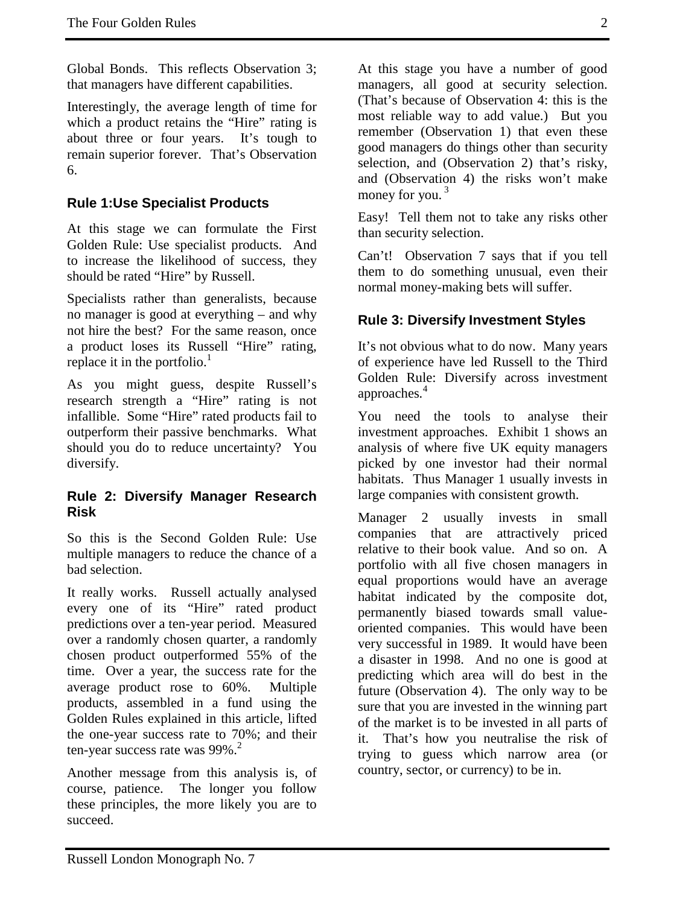Global Bonds. This reflects Observation 3; that managers have different capabilities.

Interestingly, the average length of time for which a product retains the "Hire" rating is about three or four years. It's tough to remain superior forever. That's Observation 6.

# **Rule 1:Use Specialist Products**

At this stage we can formulate the First Golden Rule: Use specialist products. And to increase the likelihood of success, they should be rated "Hire" by Russell.

Specialists rather than generalists, because no manager is good at everything – and why not hire the best? For the same reason, once a product loses its Russell "Hire" rating, replace it in the portfolio. $<sup>1</sup>$ </sup>

As you might guess, despite Russell's research strength a "Hire" rating is not infallible. Some "Hire" rated products fail to outperform their passive benchmarks. What should you do to reduce uncertainty? You diversify.

#### **Rule 2: Diversify Manager Research Risk**

So this is the Second Golden Rule: Use multiple managers to reduce the chance of a bad selection.

It really works. Russell actually analysed every one of its "Hire" rated product predictions over a ten-year period. Measured over a randomly chosen quarter, a randomly chosen product outperformed 55% of the time. Over a year, the success rate for the average product rose to 60%. Multiple products, assembled in a fund using the Golden Rules explained in this article, lifted the one-year success rate to 70%; and their ten-year success rate was  $99\%$ <sup>2</sup>

Another message from this analysis is, of course, patience. The longer you follow these principles, the more likely you are to succeed.

At this stage you have a number of good managers, all good at security selection. (That's because of Observation 4: this is the most reliable way to add value.) But you remember (Observation 1) that even these good managers do things other than security selection, and (Observation 2) that's risky, and (Observation 4) the risks won't make

Easy! Tell them not to take any risks other than security selection.

money for you. $3$ 

Can't! Observation 7 says that if you tell them to do something unusual, even their normal money-making bets will suffer.

## **Rule 3: Diversify Investment Styles**

It's not obvious what to do now. Many years of experience have led Russell to the Third Golden Rule: Diversify across investment approaches*.* 4

You need the tools to analyse their investment approaches. Exhibit 1 shows an analysis of where five UK equity managers picked by one investor had their normal habitats. Thus Manager 1 usually invests in large companies with consistent growth.

Manager 2 usually invests in small companies that are attractively priced relative to their book value. And so on. A portfolio with all five chosen managers in equal proportions would have an average habitat indicated by the composite dot, permanently biased towards small valueoriented companies. This would have been very successful in 1989. It would have been a disaster in 1998. And no one is good at predicting which area will do best in the future (Observation 4). The only way to be sure that you are invested in the winning part of the market is to be invested in all parts of it. That's how you neutralise the risk of trying to guess which narrow area (or country, sector, or currency) to be in.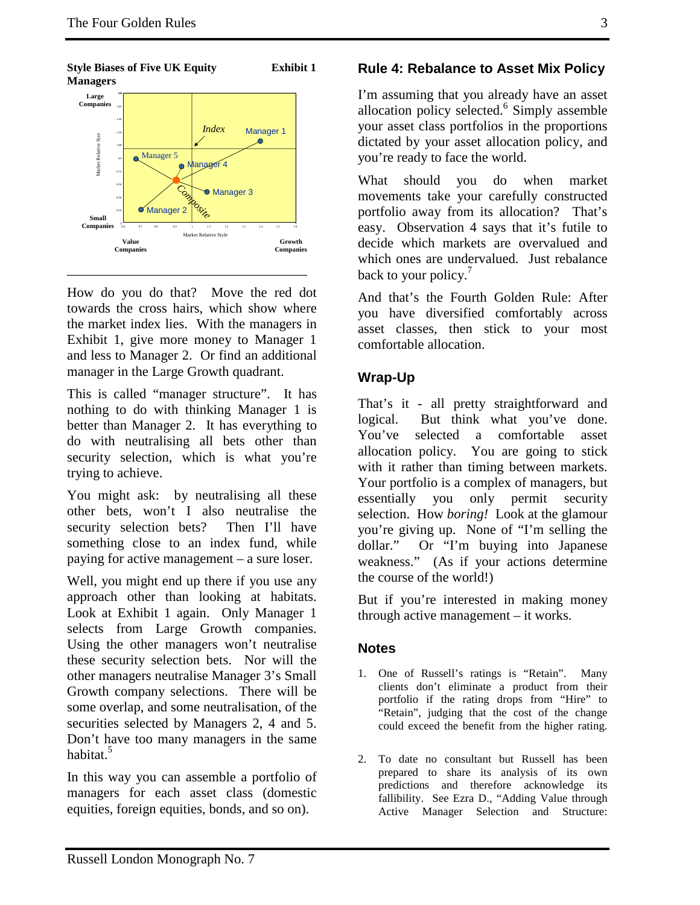

**Style Biases of Five UK Equity Exhibit 1 Managers** 

How do you do that? Move the red dot towards the cross hairs, which show where the market index lies. With the managers in Exhibit 1, give more money to Manager 1 and less to Manager 2. Or find an additional manager in the Large Growth quadrant.

\_\_\_\_\_\_\_\_\_\_\_\_\_\_\_\_\_\_\_\_\_\_\_\_\_\_\_\_\_\_\_\_\_\_\_

This is called "manager structure". It has nothing to do with thinking Manager 1 is better than Manager 2. It has everything to do with neutralising all bets other than security selection, which is what you're trying to achieve.

You might ask: by neutralising all these other bets, won't I also neutralise the security selection bets? Then I'll have something close to an index fund, while paying for active management – a sure loser.

Well, you might end up there if you use any approach other than looking at habitats. Look at Exhibit 1 again. Only Manager 1 selects from Large Growth companies. Using the other managers won't neutralise these security selection bets. Nor will the other managers neutralise Manager 3's Small Growth company selections. There will be some overlap, and some neutralisation, of the securities selected by Managers 2, 4 and 5. Don't have too many managers in the same habitat.<sup>5</sup>

In this way you can assemble a portfolio of managers for each asset class (domestic equities, foreign equities, bonds, and so on).

# **Rule 4: Rebalance to Asset Mix Policy**

I'm assuming that you already have an asset allocation policy selected.<sup>6</sup> Simply assemble your asset class portfolios in the proportions dictated by your asset allocation policy, and you're ready to face the world.

What should you do when market movements take your carefully constructed portfolio away from its allocation? That's easy. Observation 4 says that it's futile to decide which markets are overvalued and which ones are undervalued. Just rebalance back to your policy.

And that's the Fourth Golden Rule: After you have diversified comfortably across asset classes, then stick to your most comfortable allocation.

# **Wrap-Up**

That's it - all pretty straightforward and logical. But think what you've done. You've selected a comfortable asset allocation policy. You are going to stick with it rather than timing between markets. Your portfolio is a complex of managers, but essentially you only permit security selection. How *boring!* Look at the glamour you're giving up. None of "I'm selling the dollar." Or "I'm buying into Japanese weakness." (As if your actions determine the course of the world!)

But if you're interested in making money through active management – it works.

## **Notes**

- 1. One of Russell's ratings is "Retain". Many clients don't eliminate a product from their portfolio if the rating drops from "Hire" to "Retain", judging that the cost of the change could exceed the benefit from the higher rating.
- 2. To date no consultant but Russell has been prepared to share its analysis of its own predictions and therefore acknowledge its fallibility. See Ezra D., "Adding Value through Active Manager Selection and Structure: